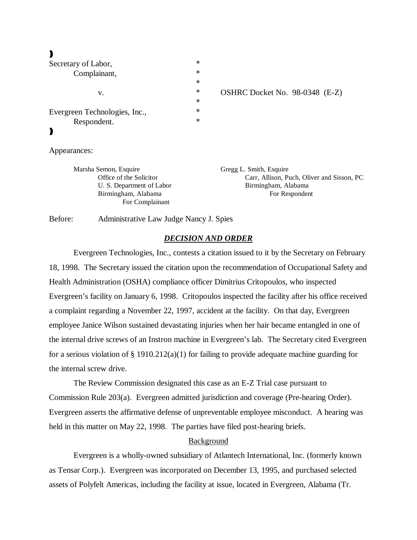# $\blacktriangleright$

| Secretary of Labor,           | $\ast$ |
|-------------------------------|--------|
| Complainant,                  | $\ast$ |
|                               | $\ast$ |
| V.                            | $\ast$ |
|                               | $\ast$ |
| Evergreen Technologies, Inc., | $\ast$ |
| Respondent.                   | $\ast$ |
|                               |        |
|                               |        |

OSHRC Docket No.  $98-0348$  (E-Z)

Appearances:

Marsha Semon, Esquire Gregg L. Smith, Esquire For Complainant

Office of the Solicitor Carr, Allison, Puch, Oliver and Sisson, PC U. S. Department of Labor Birmingham, Alabama Birmingham, Alabama For Respondent

Before: Administrative Law Judge Nancy J. Spies

# *DECISION AND ORDER*

Evergreen Technologies, Inc., contests a citation issued to it by the Secretary on February 18, 1998. The Secretary issued the citation upon the recommendation of Occupational Safety and Health Administration (OSHA) compliance officer Dimitrius Critopoulos, who inspected Evergreen's facility on January 6, 1998. Critopoulos inspected the facility after his office received a complaint regarding a November 22, 1997, accident at the facility. On that day, Evergreen employee Janice Wilson sustained devastating injuries when her hair became entangled in one of the internal drive screws of an Instron machine in Evergreen's lab. The Secretary cited Evergreen for a serious violation of  $\S$  1910.212(a)(1) for failing to provide adequate machine guarding for the internal screw drive.

The Review Commission designated this case as an E-Z Trial case pursuant to Commission Rule 203(a). Evergreen admitted jurisdiction and coverage (Pre-hearing Order). Evergreen asserts the affirmative defense of unpreventable employee misconduct. A hearing was held in this matter on May 22, 1998. The parties have filed post-hearing briefs.

## Background

Evergreen is a wholly-owned subsidiary of Atlantech International, Inc. (formerly known as Tensar Corp.). Evergreen was incorporated on December 13, 1995, and purchased selected assets of Polyfelt Americas, including the facility at issue, located in Evergreen, Alabama (Tr.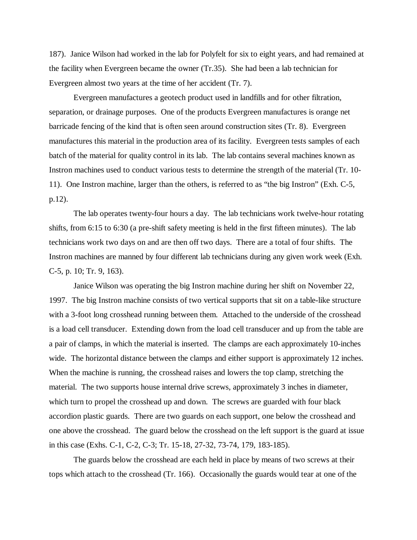187). Janice Wilson had worked in the lab for Polyfelt for six to eight years, and had remained at the facility when Evergreen became the owner (Tr.35). She had been a lab technician for Evergreen almost two years at the time of her accident (Tr. 7).

Evergreen manufactures a geotech product used in landfills and for other filtration, separation, or drainage purposes. One of the products Evergreen manufactures is orange net barricade fencing of the kind that is often seen around construction sites (Tr. 8). Evergreen manufactures this material in the production area of its facility. Evergreen tests samples of each batch of the material for quality control in its lab. The lab contains several machines known as Instron machines used to conduct various tests to determine the strength of the material (Tr. 10- 11). One Instron machine, larger than the others, is referred to as "the big Instron" (Exh. C-5, p.12).

The lab operates twenty-four hours a day. The lab technicians work twelve-hour rotating shifts, from 6:15 to 6:30 (a pre-shift safety meeting is held in the first fifteen minutes). The lab technicians work two days on and are then off two days. There are a total of four shifts. The Instron machines are manned by four different lab technicians during any given work week (Exh. C-5, p. 10; Tr. 9, 163).

Janice Wilson was operating the big Instron machine during her shift on November 22, 1997. The big Instron machine consists of two vertical supports that sit on a table-like structure with a 3-foot long crosshead running between them. Attached to the underside of the crosshead is a load cell transducer. Extending down from the load cell transducer and up from the table are a pair of clamps, in which the material is inserted. The clamps are each approximately 10-inches wide. The horizontal distance between the clamps and either support is approximately 12 inches. When the machine is running, the crosshead raises and lowers the top clamp, stretching the material. The two supports house internal drive screws, approximately 3 inches in diameter, which turn to propel the crosshead up and down. The screws are guarded with four black accordion plastic guards. There are two guards on each support, one below the crosshead and one above the crosshead. The guard below the crosshead on the left support is the guard at issue in this case (Exhs. C-1, C-2, C-3; Tr. 15-18, 27-32, 73-74, 179, 183-185).

The guards below the crosshead are each held in place by means of two screws at their tops which attach to the crosshead (Tr. 166). Occasionally the guards would tear at one of the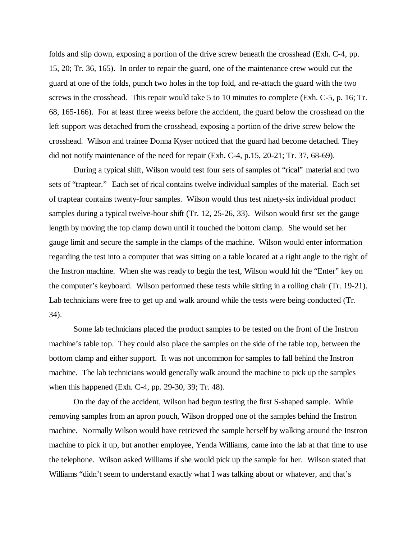folds and slip down, exposing a portion of the drive screw beneath the crosshead (Exh. C-4, pp. 15, 20; Tr. 36, 165). In order to repair the guard, one of the maintenance crew would cut the guard at one of the folds, punch two holes in the top fold, and re-attach the guard with the two screws in the crosshead. This repair would take 5 to 10 minutes to complete (Exh. C-5, p. 16; Tr. 68, 165-166). For at least three weeks before the accident, the guard below the crosshead on the left support was detached from the crosshead, exposing a portion of the drive screw below the crosshead. Wilson and trainee Donna Kyser noticed that the guard had become detached. They did not notify maintenance of the need for repair (Exh. C-4, p.15, 20-21; Tr. 37, 68-69).

During a typical shift, Wilson would test four sets of samples of "rical" material and two sets of "traptear." Each set of rical contains twelve individual samples of the material. Each set of traptear contains twenty-four samples. Wilson would thus test ninety-six individual product samples during a typical twelve-hour shift (Tr. 12, 25-26, 33). Wilson would first set the gauge length by moving the top clamp down until it touched the bottom clamp. She would set her gauge limit and secure the sample in the clamps of the machine. Wilson would enter information regarding the test into a computer that was sitting on a table located at a right angle to the right of the Instron machine. When she was ready to begin the test, Wilson would hit the "Enter" key on the computer's keyboard. Wilson performed these tests while sitting in a rolling chair (Tr. 19-21). Lab technicians were free to get up and walk around while the tests were being conducted (Tr. 34).

Some lab technicians placed the product samples to be tested on the front of the Instron machine's table top. They could also place the samples on the side of the table top, between the bottom clamp and either support. It was not uncommon for samples to fall behind the Instron machine. The lab technicians would generally walk around the machine to pick up the samples when this happened (Exh. C-4, pp. 29-30, 39; Tr. 48).

On the day of the accident, Wilson had begun testing the first S-shaped sample. While removing samples from an apron pouch, Wilson dropped one of the samples behind the Instron machine. Normally Wilson would have retrieved the sample herself by walking around the Instron machine to pick it up, but another employee, Yenda Williams, came into the lab at that time to use the telephone. Wilson asked Williams if she would pick up the sample for her. Wilson stated that Williams "didn't seem to understand exactly what I was talking about or whatever, and that's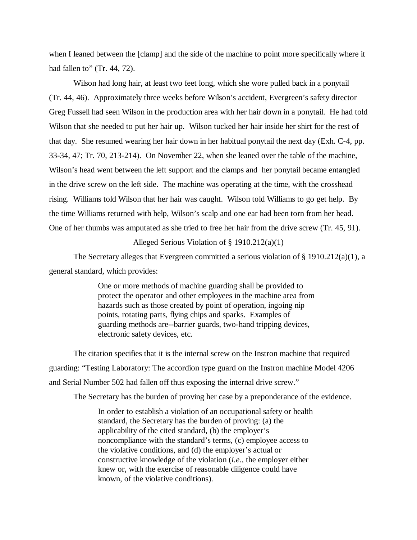when I leaned between the [clamp] and the side of the machine to point more specifically where it had fallen to" (Tr. 44, 72).

Wilson had long hair, at least two feet long, which she wore pulled back in a ponytail (Tr. 44, 46). Approximately three weeks before Wilson's accident, Evergreen's safety director Greg Fussell had seen Wilson in the production area with her hair down in a ponytail. He had told Wilson that she needed to put her hair up. Wilson tucked her hair inside her shirt for the rest of that day. She resumed wearing her hair down in her habitual ponytail the next day (Exh. C-4, pp. 33-34, 47; Tr. 70, 213-214). On November 22, when she leaned over the table of the machine, Wilson's head went between the left support and the clamps and her ponytail became entangled in the drive screw on the left side. The machine was operating at the time, with the crosshead rising. Williams told Wilson that her hair was caught. Wilson told Williams to go get help. By the time Williams returned with help, Wilson's scalp and one ear had been torn from her head. One of her thumbs was amputated as she tried to free her hair from the drive screw (Tr. 45, 91).

### Alleged Serious Violation of § 1910.212(a)(1)

The Secretary alleges that Evergreen committed a serious violation of  $\S$  1910.212(a)(1), a general standard, which provides:

> One or more methods of machine guarding shall be provided to protect the operator and other employees in the machine area from hazards such as those created by point of operation, ingoing nip points, rotating parts, flying chips and sparks. Examples of guarding methods are--barrier guards, two-hand tripping devices, electronic safety devices, etc.

The citation specifies that it is the internal screw on the Instron machine that required guarding: "Testing Laboratory: The accordion type guard on the Instron machine Model 4206 and Serial Number 502 had fallen off thus exposing the internal drive screw."

The Secretary has the burden of proving her case by a preponderance of the evidence.

In order to establish a violation of an occupational safety or health standard, the Secretary has the burden of proving: (a) the applicability of the cited standard, (b) the employer's noncompliance with the standard's terms, (c) employee access to the violative conditions, and (d) the employer's actual or constructive knowledge of the violation (*i.e.,* the employer either knew or, with the exercise of reasonable diligence could have known, of the violative conditions).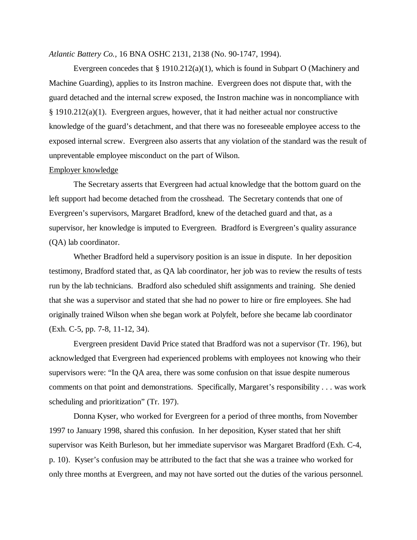*Atlantic Battery Co.,* 16 BNA OSHC 2131, 2138 (No. 90-1747, 1994).

Evergreen concedes that  $\S 1910.212(a)(1)$ , which is found in Subpart O (Machinery and Machine Guarding), applies to its Instron machine. Evergreen does not dispute that, with the guard detached and the internal screw exposed, the Instron machine was in noncompliance with § 1910.212(a)(1). Evergreen argues, however, that it had neither actual nor constructive knowledge of the guard's detachment, and that there was no foreseeable employee access to the exposed internal screw. Evergreen also asserts that any violation of the standard was the result of unpreventable employee misconduct on the part of Wilson.

## Employer knowledge

The Secretary asserts that Evergreen had actual knowledge that the bottom guard on the left support had become detached from the crosshead. The Secretary contends that one of Evergreen's supervisors, Margaret Bradford, knew of the detached guard and that, as a supervisor, her knowledge is imputed to Evergreen. Bradford is Evergreen's quality assurance (QA) lab coordinator.

Whether Bradford held a supervisory position is an issue in dispute. In her deposition testimony, Bradford stated that, as QA lab coordinator, her job was to review the results of tests run by the lab technicians. Bradford also scheduled shift assignments and training. She denied that she was a supervisor and stated that she had no power to hire or fire employees. She had originally trained Wilson when she began work at Polyfelt, before she became lab coordinator (Exh. C-5, pp. 7-8, 11-12, 34).

Evergreen president David Price stated that Bradford was not a supervisor (Tr. 196), but acknowledged that Evergreen had experienced problems with employees not knowing who their supervisors were: "In the QA area, there was some confusion on that issue despite numerous comments on that point and demonstrations. Specifically, Margaret's responsibility . . . was work scheduling and prioritization" (Tr. 197).

Donna Kyser, who worked for Evergreen for a period of three months, from November 1997 to January 1998, shared this confusion. In her deposition, Kyser stated that her shift supervisor was Keith Burleson, but her immediate supervisor was Margaret Bradford (Exh. C-4, p. 10). Kyser's confusion may be attributed to the fact that she was a trainee who worked for only three months at Evergreen, and may not have sorted out the duties of the various personnel.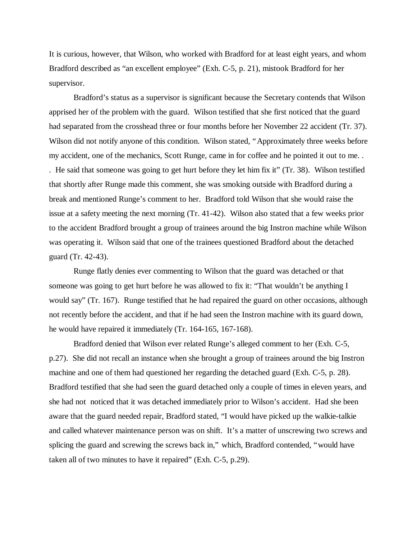It is curious, however, that Wilson, who worked with Bradford for at least eight years, and whom Bradford described as "an excellent employee" (Exh. C-5, p. 21), mistook Bradford for her supervisor.

Bradford's status as a supervisor is significant because the Secretary contends that Wilson apprised her of the problem with the guard. Wilson testified that she first noticed that the guard had separated from the crosshead three or four months before her November 22 accident (Tr. 37). Wilson did not notify anyone of this condition. Wilson stated, "Approximately three weeks before my accident, one of the mechanics, Scott Runge, came in for coffee and he pointed it out to me. . . He said that someone was going to get hurt before they let him fix it" (Tr. 38). Wilson testified that shortly after Runge made this comment, she was smoking outside with Bradford during a break and mentioned Runge's comment to her. Bradford told Wilson that she would raise the issue at a safety meeting the next morning (Tr. 41-42). Wilson also stated that a few weeks prior to the accident Bradford brought a group of trainees around the big Instron machine while Wilson was operating it. Wilson said that one of the trainees questioned Bradford about the detached guard (Tr. 42-43).

Runge flatly denies ever commenting to Wilson that the guard was detached or that someone was going to get hurt before he was allowed to fix it: "That wouldn't be anything I would say" (Tr. 167). Runge testified that he had repaired the guard on other occasions, although not recently before the accident, and that if he had seen the Instron machine with its guard down, he would have repaired it immediately (Tr. 164-165, 167-168).

Bradford denied that Wilson ever related Runge's alleged comment to her (Exh. C-5, p.27). She did not recall an instance when she brought a group of trainees around the big Instron machine and one of them had questioned her regarding the detached guard (Exh. C-5, p. 28). Bradford testified that she had seen the guard detached only a couple of times in eleven years, and she had not noticed that it was detached immediately prior to Wilson's accident. Had she been aware that the guard needed repair, Bradford stated, "I would have picked up the walkie-talkie and called whatever maintenance person was on shift. It's a matter of unscrewing two screws and splicing the guard and screwing the screws back in," which, Bradford contended, "would have taken all of two minutes to have it repaired" (Exh. C-5, p.29).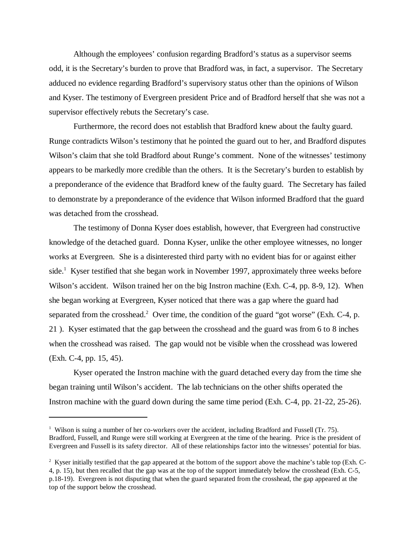Although the employees' confusion regarding Bradford's status as a supervisor seems odd, it is the Secretary's burden to prove that Bradford was, in fact, a supervisor. The Secretary adduced no evidence regarding Bradford's supervisory status other than the opinions of Wilson and Kyser. The testimony of Evergreen president Price and of Bradford herself that she was not a supervisor effectively rebuts the Secretary's case.

Furthermore, the record does not establish that Bradford knew about the faulty guard. Runge contradicts Wilson's testimony that he pointed the guard out to her, and Bradford disputes Wilson's claim that she told Bradford about Runge's comment. None of the witnesses' testimony appears to be markedly more credible than the others. It is the Secretary's burden to establish by a preponderance of the evidence that Bradford knew of the faulty guard. The Secretary has failed to demonstrate by a preponderance of the evidence that Wilson informed Bradford that the guard was detached from the crosshead.

The testimony of Donna Kyser does establish, however, that Evergreen had constructive knowledge of the detached guard. Donna Kyser, unlike the other employee witnesses, no longer works at Evergreen. She is a disinterested third party with no evident bias for or against either side.<sup>1</sup> Kyser testified that she began work in November 1997, approximately three weeks before Wilson's accident. Wilson trained her on the big Instron machine (Exh. C-4, pp. 8-9, 12). When she began working at Evergreen, Kyser noticed that there was a gap where the guard had separated from the crosshead.<sup>2</sup> Over time, the condition of the guard "got worse" (Exh. C-4, p. 21 ). Kyser estimated that the gap between the crosshead and the guard was from 6 to 8 inches when the crosshead was raised. The gap would not be visible when the crosshead was lowered (Exh. C-4, pp. 15, 45).

Kyser operated the Instron machine with the guard detached every day from the time she began training until Wilson's accident. The lab technicians on the other shifts operated the Instron machine with the guard down during the same time period (Exh. C-4, pp. 21-22, 25-26).

<sup>&</sup>lt;sup>1</sup> Wilson is suing a number of her co-workers over the accident, including Bradford and Fussell (Tr. 75). Bradford, Fussell, and Runge were still working at Evergreen at the time of the hearing. Price is the president of Evergreen and Fussell is its safety director. All of these relationships factor into the witnesses' potential for bias.

<sup>&</sup>lt;sup>2</sup> Kyser initially testified that the gap appeared at the bottom of the support above the machine's table top (Exh. C-4, p. 15), but then recalled that the gap was at the top of the support immediately below the crosshead (Exh. C-5, p.18-19). Evergreen is not disputing that when the guard separated from the crosshead, the gap appeared at the top of the support below the crosshead.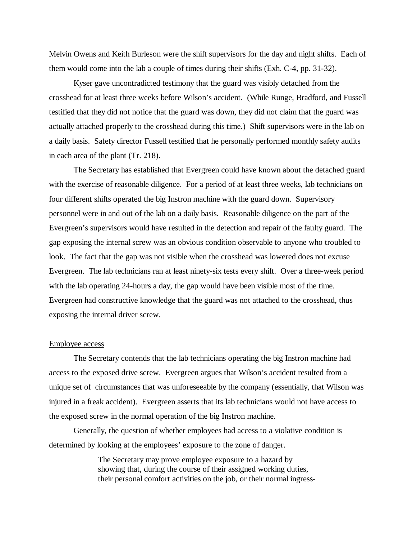Melvin Owens and Keith Burleson were the shift supervisors for the day and night shifts. Each of them would come into the lab a couple of times during their shifts (Exh. C-4, pp. 31-32).

Kyser gave uncontradicted testimony that the guard was visibly detached from the crosshead for at least three weeks before Wilson's accident. (While Runge, Bradford, and Fussell testified that they did not notice that the guard was down, they did not claim that the guard was actually attached properly to the crosshead during this time.) Shift supervisors were in the lab on a daily basis. Safety director Fussell testified that he personally performed monthly safety audits in each area of the plant (Tr. 218).

The Secretary has established that Evergreen could have known about the detached guard with the exercise of reasonable diligence. For a period of at least three weeks, lab technicians on four different shifts operated the big Instron machine with the guard down. Supervisory personnel were in and out of the lab on a daily basis. Reasonable diligence on the part of the Evergreen's supervisors would have resulted in the detection and repair of the faulty guard. The gap exposing the internal screw was an obvious condition observable to anyone who troubled to look. The fact that the gap was not visible when the crosshead was lowered does not excuse Evergreen. The lab technicians ran at least ninety-six tests every shift. Over a three-week period with the lab operating 24-hours a day, the gap would have been visible most of the time. Evergreen had constructive knowledge that the guard was not attached to the crosshead, thus exposing the internal driver screw.

#### Employee access

The Secretary contends that the lab technicians operating the big Instron machine had access to the exposed drive screw. Evergreen argues that Wilson's accident resulted from a unique set of circumstances that was unforeseeable by the company (essentially, that Wilson was injured in a freak accident). Evergreen asserts that its lab technicians would not have access to the exposed screw in the normal operation of the big Instron machine.

Generally, the question of whether employees had access to a violative condition is determined by looking at the employees' exposure to the zone of danger.

> The Secretary may prove employee exposure to a hazard by showing that, during the course of their assigned working duties, their personal comfort activities on the job, or their normal ingress-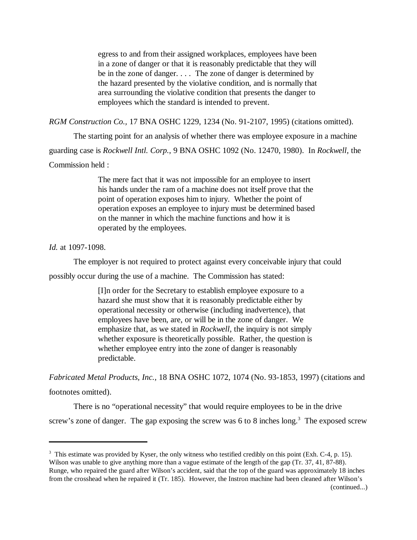egress to and from their assigned workplaces, employees have been in a zone of danger or that it is reasonably predictable that they will be in the zone of danger. . . . The zone of danger is determined by the hazard presented by the violative condition, and is normally that area surrounding the violative condition that presents the danger to employees which the standard is intended to prevent.

*RGM Construction Co.,* 17 BNA OSHC 1229, 1234 (No. 91-2107, 1995) (citations omitted).

The starting point for an analysis of whether there was employee exposure in a machine guarding case is *Rockwell Intl. Corp.*, 9 BNA OSHC 1092 (No. 12470, 1980). In *Rockwell,* the Commission held :

> The mere fact that it was not impossible for an employee to insert his hands under the ram of a machine does not itself prove that the point of operation exposes him to injury. Whether the point of operation exposes an employee to injury must be determined based on the manner in which the machine functions and how it is operated by the employees.

*Id.* at 1097-1098.

The employer is not required to protect against every conceivable injury that could

possibly occur during the use of a machine. The Commission has stated:

[I]n order for the Secretary to establish employee exposure to a hazard she must show that it is reasonably predictable either by operational necessity or otherwise (including inadvertence), that employees have been, are, or will be in the zone of danger. We emphasize that, as we stated in *Rockwell*, the inquiry is not simply whether exposure is theoretically possible. Rather, the question is whether employee entry into the zone of danger is reasonably predictable.

*Fabricated Metal Products, Inc.,* 18 BNA OSHC 1072, 1074 (No. 93-1853, 1997) (citations and

## footnotes omitted).

There is no "operational necessity" that would require employees to be in the drive screw's zone of danger. The gap exposing the screw was 6 to 8 inches long.<sup>3</sup> The exposed screw

<sup>&</sup>lt;sup>3</sup> This estimate was provided by Kyser, the only witness who testified credibly on this point (Exh. C-4, p. 15). Wilson was unable to give anything more than a vague estimate of the length of the gap (Tr. 37, 41, 87-88). Runge, who repaired the guard after Wilson's accident, said that the top of the guard was approximately 18 inches from the crosshead when he repaired it (Tr. 185). However, the Instron machine had been cleaned after Wilson's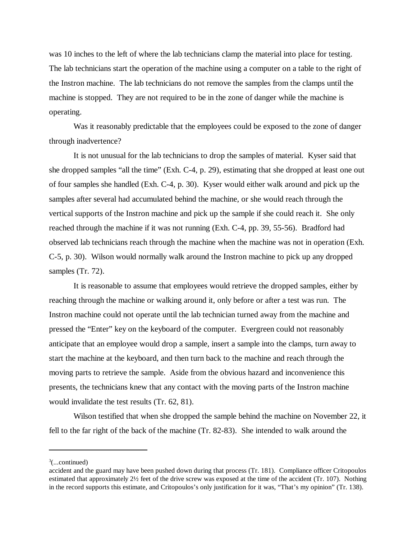was 10 inches to the left of where the lab technicians clamp the material into place for testing. The lab technicians start the operation of the machine using a computer on a table to the right of the Instron machine. The lab technicians do not remove the samples from the clamps until the machine is stopped. They are not required to be in the zone of danger while the machine is operating.

Was it reasonably predictable that the employees could be exposed to the zone of danger through inadvertence?

It is not unusual for the lab technicians to drop the samples of material. Kyser said that she dropped samples "all the time" (Exh. C-4, p. 29), estimating that she dropped at least one out of four samples she handled (Exh. C-4, p. 30). Kyser would either walk around and pick up the samples after several had accumulated behind the machine, or she would reach through the vertical supports of the Instron machine and pick up the sample if she could reach it. She only reached through the machine if it was not running (Exh. C-4, pp. 39, 55-56). Bradford had observed lab technicians reach through the machine when the machine was not in operation (Exh. C-5, p. 30). Wilson would normally walk around the Instron machine to pick up any dropped samples (Tr. 72).

It is reasonable to assume that employees would retrieve the dropped samples, either by reaching through the machine or walking around it, only before or after a test was run. The Instron machine could not operate until the lab technician turned away from the machine and pressed the "Enter" key on the keyboard of the computer. Evergreen could not reasonably anticipate that an employee would drop a sample, insert a sample into the clamps, turn away to start the machine at the keyboard, and then turn back to the machine and reach through the moving parts to retrieve the sample. Aside from the obvious hazard and inconvenience this presents, the technicians knew that any contact with the moving parts of the Instron machine would invalidate the test results (Tr. 62, 81).

Wilson testified that when she dropped the sample behind the machine on November 22, it fell to the far right of the back of the machine (Tr. 82-83). She intended to walk around the

 $\frac{3}{2}$ (...continued)

accident and the guard may have been pushed down during that process (Tr. 181). Compliance officer Critopoulos estimated that approximately 2½ feet of the drive screw was exposed at the time of the accident (Tr. 107). Nothing in the record supports this estimate, and Critopoulos's only justification for it was, "That's my opinion" (Tr. 138).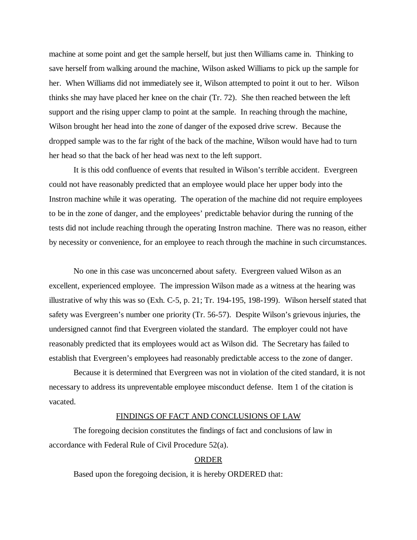machine at some point and get the sample herself, but just then Williams came in. Thinking to save herself from walking around the machine, Wilson asked Williams to pick up the sample for her. When Williams did not immediately see it, Wilson attempted to point it out to her. Wilson thinks she may have placed her knee on the chair (Tr. 72). She then reached between the left support and the rising upper clamp to point at the sample. In reaching through the machine, Wilson brought her head into the zone of danger of the exposed drive screw. Because the dropped sample was to the far right of the back of the machine, Wilson would have had to turn her head so that the back of her head was next to the left support.

It is this odd confluence of events that resulted in Wilson's terrible accident. Evergreen could not have reasonably predicted that an employee would place her upper body into the Instron machine while it was operating. The operation of the machine did not require employees to be in the zone of danger, and the employees' predictable behavior during the running of the tests did not include reaching through the operating Instron machine. There was no reason, either by necessity or convenience, for an employee to reach through the machine in such circumstances.

No one in this case was unconcerned about safety. Evergreen valued Wilson as an excellent, experienced employee. The impression Wilson made as a witness at the hearing was illustrative of why this was so (Exh. C-5, p. 21; Tr. 194-195, 198-199). Wilson herself stated that safety was Evergreen's number one priority (Tr. 56-57). Despite Wilson's grievous injuries, the undersigned cannot find that Evergreen violated the standard. The employer could not have reasonably predicted that its employees would act as Wilson did. The Secretary has failed to establish that Evergreen's employees had reasonably predictable access to the zone of danger.

Because it is determined that Evergreen was not in violation of the cited standard, it is not necessary to address its unpreventable employee misconduct defense. Item 1 of the citation is vacated.

## FINDINGS OF FACT AND CONCLUSIONS OF LAW

The foregoing decision constitutes the findings of fact and conclusions of law in accordance with Federal Rule of Civil Procedure 52(a).

#### ORDER

Based upon the foregoing decision, it is hereby ORDERED that: